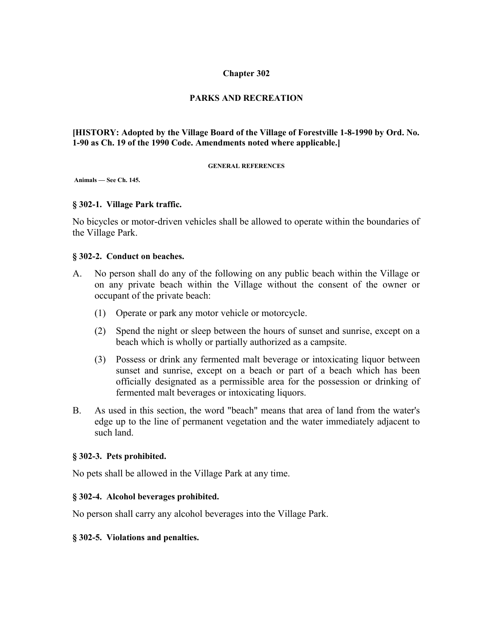# **Chapter 302**

# **PARKS AND RECREATION**

# **[HISTORY: Adopted by the Village Board of the Village of Forestville 1-8-1990 by Ord. No. 1-90 as Ch. 19 of the 1990 Code. Amendments noted where applicable.]**

#### **GENERAL REFERENCES**

 **Animals — See Ch. 145.**

### **§ 302-1. Village Park traffic.**

No bicycles or motor-driven vehicles shall be allowed to operate within the boundaries of the Village Park.

#### **§ 302-2. Conduct on beaches.**

- A. No person shall do any of the following on any public beach within the Village or on any private beach within the Village without the consent of the owner or occupant of the private beach:
	- (1) Operate or park any motor vehicle or motorcycle.
	- (2) Spend the night or sleep between the hours of sunset and sunrise, except on a beach which is wholly or partially authorized as a campsite.
	- (3) Possess or drink any fermented malt beverage or intoxicating liquor between sunset and sunrise, except on a beach or part of a beach which has been officially designated as a permissible area for the possession or drinking of fermented malt beverages or intoxicating liquors.
- B. As used in this section, the word "beach" means that area of land from the water's edge up to the line of permanent vegetation and the water immediately adjacent to such land.

### **§ 302-3. Pets prohibited.**

No pets shall be allowed in the Village Park at any time.

## **§ 302-4. Alcohol beverages prohibited.**

No person shall carry any alcohol beverages into the Village Park.

### **§ 302-5. Violations and penalties.**